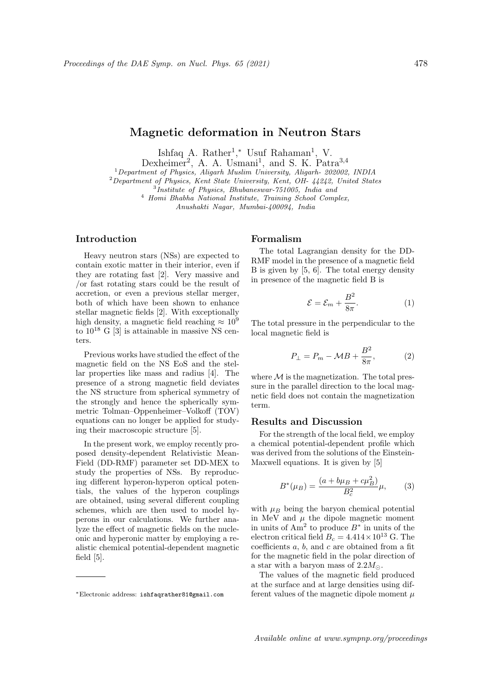# Magnetic deformation in Neutron Stars

Ishfaq A. Rather<sup>1</sup>,\* Usuf Rahaman<sup>1</sup>, V.

Dexheimer<sup>2</sup>, A. A. Usmani<sup>1</sup>, and S. K. Patra<sup>3,4</sup>

<sup>1</sup>Department of Physics, Aligarh Muslim University, Aligarh- 202002, INDIA

<sup>2</sup>Department of Physics, Kent State University, Kent, OH- 44242, United States

3 Institute of Physics, Bhubaneswar-751005, India and

<sup>4</sup> Homi Bhabha National Institute, Training School Complex,

Anushakti Nagar, Mumbai-400094, India

# Introduction

Heavy neutron stars (NSs) are expected to contain exotic matter in their interior, even if they are rotating fast [2]. Very massive and /or fast rotating stars could be the result of accretion, or even a previous stellar merger, both of which have been shown to enhance stellar magnetic fields [2]. With exceptionally high density, a magnetic field reaching  $\approx 10^9$ to  $10^{18}$  G [3] is attainable in massive NS centers.

Previous works have studied the effect of the magnetic field on the NS EoS and the stellar properties like mass and radius [4]. The presence of a strong magnetic field deviates the NS structure from spherical symmetry of the strongly and hence the spherically symmetric Tolman–Oppenheimer–Volkoff (TOV) equations can no longer be applied for studying their macroscopic structure [5].

In the present work, we employ recently proposed density-dependent Relativistic Mean-Field (DD-RMF) parameter set DD-MEX to study the properties of NSs. By reproducing different hyperon-hyperon optical potentials, the values of the hyperon couplings are obtained, using several different coupling schemes, which are then used to model hyperons in our calculations. We further analyze the effect of magnetic fields on the nucleonic and hyperonic matter by employing a realistic chemical potential-dependent magnetic field [5].

### Formalism

The total Lagrangian density for the DD-RMF model in the presence of a magnetic field B is given by [5, 6]. The total energy density in presence of the magnetic field B is

$$
\mathcal{E} = \mathcal{E}_m + \frac{B^2}{8\pi}.\tag{1}
$$

The total pressure in the perpendicular to the local magnetic field is

$$
P_{\perp} = P_m - \mathcal{M}B + \frac{B^2}{8\pi},\tag{2}
$$

where  $\mathcal M$  is the magnetization. The total pressure in the parallel direction to the local magnetic field does not contain the magnetization term.

## Results and Discussion

For the strength of the local field, we employ a chemical potential-dependent profile which was derived from the solutions of the Einstein-Maxwell equations. It is given by [5]

$$
B^*(\mu_B) = \frac{(a + b\mu_B + c\mu_B^2)}{B_c^2}\mu,
$$
 (3)

with  $\mu_B$  being the baryon chemical potential in MeV and  $\mu$  the dipole magnetic moment in units of Am<sup>2</sup> to produce  $B^*$  in units of the electron critical field  $B_c = 4.414 \times 10^{13}$  G. The coefficients  $a, b$ , and  $c$  are obtained from a fit for the magnetic field in the polar direction of a star with a baryon mass of  $2.2M_{\odot}$ .

The values of the magnetic field produced at the surface and at large densities using different values of the magnetic dipole moment  $\mu$ 

<sup>∗</sup>Electronic address: ishfaqrather81@gmail.com